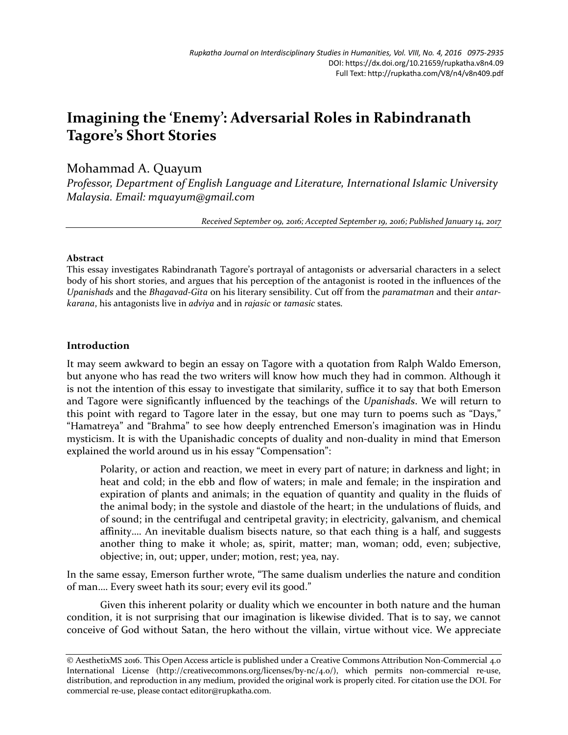# **Imagining the 'Enemy': Adversarial Roles in Rabindranath Tagore's Short Stories**

# Mohammad A. Quayum

*Professor, Department of English Language and Literature, International Islamic University Malaysia. Email: mquayum@gmail.com*

*Received September 09, 2016; Accepted September 19, 2016; Published January 14, 2017*

### **Abstract**

This essay investigates Rabindranath Tagore's portrayal of antagonists or adversarial characters in a select body of his short stories, and argues that his perception of the antagonist is rooted in the influences of the *Upanishads* and the *Bhagavad-Gita* on his literary sensibility. Cut off from the *paramatman* and their *antarkarana*, his antagonists live in *adviya* and in *rajasic* or *tamasic* states.

## **Introduction**

It may seem awkward to begin an essay on Tagore with a quotation from Ralph Waldo Emerson, but anyone who has read the two writers will know how much they had in common. Although it is not the intention of this essay to investigate that similarity, suffice it to say that both Emerson and Tagore were significantly influenced by the teachings of the *Upanishads*. We will return to this point with regard to Tagore later in the essay, but one may turn to poems such as "Days," "Hamatreya" and "Brahma" to see how deeply entrenched Emerson's imagination was in Hindu mysticism. It is with the Upanishadic concepts of duality and non-duality in mind that Emerson explained the world around us in his essay "Compensation":

Polarity, or action and reaction, we meet in every part of nature; in darkness and light; in heat and cold; in the ebb and flow of waters; in male and female; in the inspiration and expiration of plants and animals; in the equation of quantity and quality in the fluids of the animal body; in the systole and diastole of the heart; in the undulations of fluids, and of sound; in the centrifugal and centripetal gravity; in electricity, galvanism, and chemical affinity…. An inevitable dualism bisects nature, so that each thing is a half, and suggests another thing to make it whole; as, spirit, matter; man, woman; odd, even; subjective, objective; in, out; upper, under; motion, rest; yea, nay.

In the same essay, Emerson further wrote, "The same dualism underlies the nature and condition of man…. Every sweet hath its sour; every evil its good."

Given this inherent polarity or duality which we encounter in both nature and the human condition, it is not surprising that our imagination is likewise divided. That is to say, we cannot conceive of God without Satan, the hero without the villain, virtue without vice. We appreciate

<sup>©</sup> AesthetixMS 2016. This Open Access article is published under a Creative Commons Attribution Non-Commercial 4.0 International License (http://creativecommons.org/licenses/by-nc/4.0/), which permits non-commercial re-use, distribution, and reproduction in any medium, provided the original work is properly cited. For citation use the DOI. For commercial re-use, please contact editor@rupkatha.com.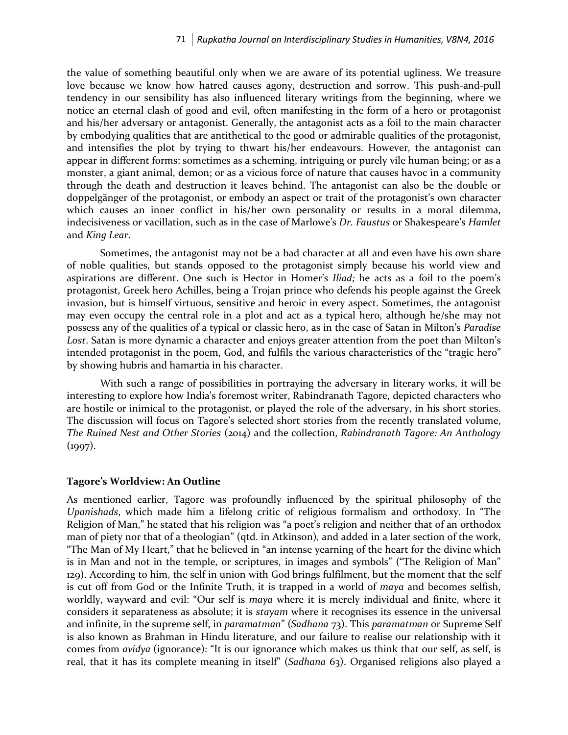the value of something beautiful only when we are aware of its potential ugliness. We treasure love because we know how hatred causes agony, destruction and sorrow. This push-and-pull tendency in our sensibility has also influenced literary writings from the beginning, where we notice an eternal clash of good and evil, often manifesting in the form of a hero or protagonist and his/her adversary or antagonist. Generally, the antagonist acts as a foil to the main character by embodying qualities that are antithetical to the good or admirable qualities of the protagonist, and intensifies the plot by trying to thwart his/her endeavours. However, the antagonist can appear in different forms: sometimes as a scheming, intriguing or purely vile human being; or as a monster, a giant animal, demon; or as a vicious force of nature that causes havoc in a community through the death and destruction it leaves behind. The antagonist can also be the double or doppelgänger of the protagonist, or embody an aspect or trait of the protagonist's own character which causes an inner conflict in his/her own personality or results in a moral dilemma, indecisiveness or vacillation, such as in the case of Marlowe's *Dr. Faustus* or Shakespeare's *Hamlet* and *King Lear*.

Sometimes, the antagonist may not be a bad character at all and even have his own share of noble qualities, but stands opposed to the protagonist simply because his world view and aspirations are different. One such is Hector in Homer's *Iliad;* he acts as a foil to the poem's protagonist, Greek hero Achilles, being a Trojan prince who defends his people against the Greek invasion, but is himself virtuous, sensitive and heroic in every aspect. Sometimes, the antagonist may even occupy the central role in a plot and act as a typical hero, although he/she may not possess any of the qualities of a typical or classic hero, as in the case of Satan in Milton's *Paradise Lost*. Satan is more dynamic a character and enjoys greater attention from the poet than Milton's intended protagonist in the poem, God, and fulfils the various characteristics of the "tragic hero" by showing hubris and hamartia in his character.

With such a range of possibilities in portraying the adversary in literary works, it will be interesting to explore how India's foremost writer, Rabindranath Tagore, depicted characters who are hostile or inimical to the protagonist, or played the role of the adversary, in his short stories. The discussion will focus on Tagore's selected short stories from the recently translated volume, *The Ruined Nest and Other Stories* (2014) and the collection, *Rabindranath Tagore: An Anthology*   $(1997)$ .

#### **Tagore's Worldview: An Outline**

As mentioned earlier, Tagore was profoundly influenced by the spiritual philosophy of the *Upanishads*, which made him a lifelong critic of religious formalism and orthodoxy. In "The Religion of Man," he stated that his religion was "a poet's religion and neither that of an orthodox man of piety nor that of a theologian" (qtd. in Atkinson), and added in a later section of the work, "The Man of My Heart," that he believed in "an intense yearning of the heart for the divine which is in Man and not in the temple, or scriptures, in images and symbols" ("The Religion of Man" 129). According to him, the self in union with God brings fulfilment, but the moment that the self is cut off from God or the Infinite Truth, it is trapped in a world of *maya* and becomes selfish, worldly, wayward and evil: "Our self is *maya* where it is merely individual and finite, where it considers it separateness as absolute; it is *stayam* where it recognises its essence in the universal and infinite, in the supreme self, in *paramatman*" (*Sadhana* 73). This *paramatman* or Supreme Self is also known as Brahman in Hindu literature, and our failure to realise our relationship with it comes from *avidya* (ignorance): "It is our ignorance which makes us think that our self, as self, is real, that it has its complete meaning in itself" (*Sadhana* 63). Organised religions also played a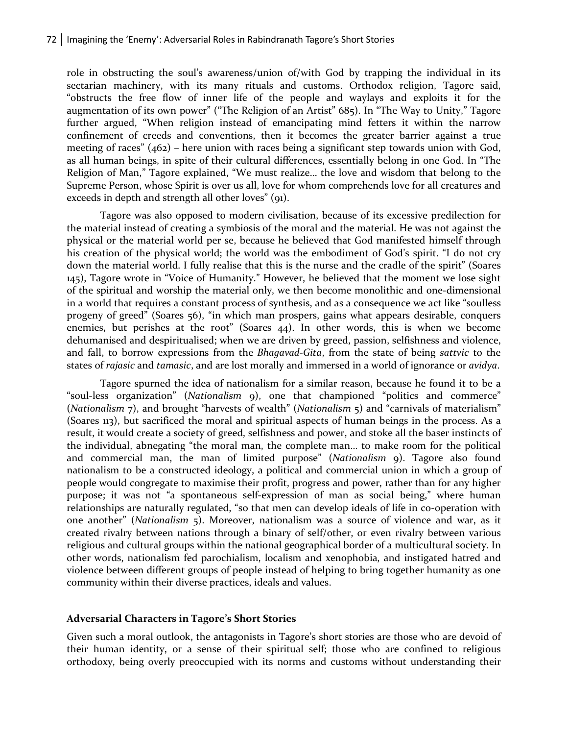role in obstructing the soul's awareness/union of/with God by trapping the individual in its sectarian machinery, with its many rituals and customs. Orthodox religion, Tagore said, "obstructs the free flow of inner life of the people and waylays and exploits it for the augmentation of its own power" ("The Religion of an Artist" 685). In "The Way to Unity," Tagore further argued, "When religion instead of emancipating mind fetters it within the narrow confinement of creeds and conventions, then it becomes the greater barrier against a true meeting of races" (462) – here union with races being a significant step towards union with God, as all human beings, in spite of their cultural differences, essentially belong in one God. In "The Religion of Man," Tagore explained, "We must realize… the love and wisdom that belong to the Supreme Person, whose Spirit is over us all, love for whom comprehends love for all creatures and exceeds in depth and strength all other loves" (91).

Tagore was also opposed to modern civilisation, because of its excessive predilection for the material instead of creating a symbiosis of the moral and the material. He was not against the physical or the material world per se, because he believed that God manifested himself through his creation of the physical world; the world was the embodiment of God's spirit. "I do not cry down the material world. I fully realise that this is the nurse and the cradle of the spirit" (Soares 145), Tagore wrote in "Voice of Humanity." However, he believed that the moment we lose sight of the spiritual and worship the material only, we then become monolithic and one-dimensional in a world that requires a constant process of synthesis, and as a consequence we act like "soulless progeny of greed" (Soares 56), "in which man prospers, gains what appears desirable, conquers enemies, but perishes at the root" (Soares 44). In other words, this is when we become dehumanised and despiritualised; when we are driven by greed, passion, selfishness and violence, and fall, to borrow expressions from the *Bhagavad-Gita*, from the state of being *sattvic* to the states of *rajasic* and *tamasic*, and are lost morally and immersed in a world of ignorance or *avidya*.

Tagore spurned the idea of nationalism for a similar reason, because he found it to be a "soul-less organization" (*Nationalism* 9), one that championed "politics and commerce" (*Nationalism* 7), and brought "harvests of wealth" (*Nationalism* 5) and "carnivals of materialism" (Soares 113), but sacrificed the moral and spiritual aspects of human beings in the process. As a result, it would create a society of greed, selfishness and power, and stoke all the baser instincts of the individual, abnegating "the moral man, the complete man… to make room for the political and commercial man, the man of limited purpose" (*Nationalism* 9). Tagore also found nationalism to be a constructed ideology, a political and commercial union in which a group of people would congregate to maximise their profit, progress and power, rather than for any higher purpose; it was not "a spontaneous self-expression of man as social being," where human relationships are naturally regulated, "so that men can develop ideals of life in co-operation with one another" (*Nationalism* 5). Moreover, nationalism was a source of violence and war, as it created rivalry between nations through a binary of self/other, or even rivalry between various religious and cultural groups within the national geographical border of a multicultural society. In other words, nationalism fed parochialism, localism and xenophobia, and instigated hatred and violence between different groups of people instead of helping to bring together humanity as one community within their diverse practices, ideals and values.

#### **Adversarial Characters in Tagore's Short Stories**

Given such a moral outlook, the antagonists in Tagore's short stories are those who are devoid of their human identity, or a sense of their spiritual self; those who are confined to religious orthodoxy, being overly preoccupied with its norms and customs without understanding their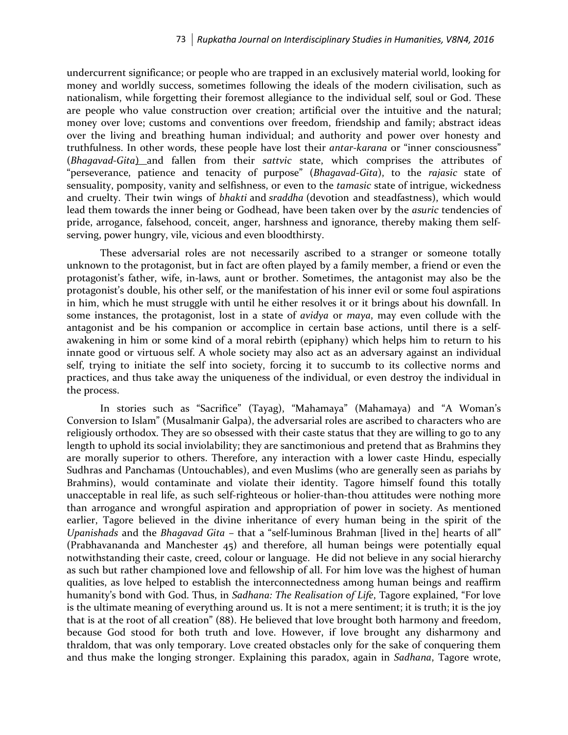undercurrent significance; or people who are trapped in an exclusively material world, looking for money and worldly success, sometimes following the ideals of the modern civilisation, such as nationalism, while forgetting their foremost allegiance to the individual self, soul or God. These are people who value construction over creation; artificial over the intuitive and the natural; money over love; customs and conventions over freedom, friendship and family; abstract ideas over the living and breathing human individual; and authority and power over honesty and truthfulness. In other words, these people have lost their *antar-karana* or "inner consciousness" (*Bhagavad-Gita*) and fallen from their *sattvic* state, which comprises the attributes of "perseverance, patience and tenacity of purpose" (*Bhagavad-Gita*), to the *rajasic* state of sensuality, pomposity, vanity and selfishness, or even to the *tamasic* state of intrigue, wickedness and cruelty. Their twin wings of *bhakti* and *sraddha* (devotion and steadfastness), which would lead them towards the inner being or Godhead, have been taken over by the *asuric* tendencies of pride, arrogance, falsehood, conceit, anger, harshness and ignorance, thereby making them selfserving, power hungry, vile, vicious and even bloodthirsty.

These adversarial roles are not necessarily ascribed to a stranger or someone totally unknown to the protagonist, but in fact are often played by a family member, a friend or even the protagonist's father, wife, in-laws, aunt or brother. Sometimes, the antagonist may also be the protagonist's double, his other self, or the manifestation of his inner evil or some foul aspirations in him, which he must struggle with until he either resolves it or it brings about his downfall. In some instances, the protagonist, lost in a state of *avidya* or *maya*, may even collude with the antagonist and be his companion or accomplice in certain base actions, until there is a selfawakening in him or some kind of a moral rebirth (epiphany) which helps him to return to his innate good or virtuous self. A whole society may also act as an adversary against an individual self, trying to initiate the self into society, forcing it to succumb to its collective norms and practices, and thus take away the uniqueness of the individual, or even destroy the individual in the process.

In stories such as "Sacrifice" (Tayag), "Mahamaya" (Mahamaya) and "A Woman's Conversion to Islam" (Musalmanir Galpa), the adversarial roles are ascribed to characters who are religiously orthodox. They are so obsessed with their caste status that they are willing to go to any length to uphold its social inviolability; they are sanctimonious and pretend that as Brahmins they are morally superior to others. Therefore, any interaction with a lower caste Hindu, especially Sudhras and Panchamas (Untouchables), and even Muslims (who are generally seen as pariahs by Brahmins), would contaminate and violate their identity. Tagore himself found this totally unacceptable in real life, as such self-righteous or holier-than-thou attitudes were nothing more than arrogance and wrongful aspiration and appropriation of power in society. As mentioned earlier, Tagore believed in the divine inheritance of every human being in the spirit of the *Upanishads* and the *Bhagavad Gita* – that a "self-luminous Brahman [lived in the] hearts of all" (Prabhavananda and Manchester 45) and therefore, all human beings were potentially equal notwithstanding their caste, creed, colour or language. He did not believe in any social hierarchy as such but rather championed love and fellowship of all. For him love was the highest of human qualities, as love helped to establish the interconnectedness among human beings and reaffirm humanity's bond with God. Thus, in *Sadhana: The Realisation of Life*, Tagore explained, "For love is the ultimate meaning of everything around us. It is not a mere sentiment; it is truth; it is the joy that is at the root of all creation" (88). He believed that love brought both harmony and freedom, because God stood for both truth and love. However, if love brought any disharmony and thraldom, that was only temporary. Love created obstacles only for the sake of conquering them and thus make the longing stronger. Explaining this paradox, again in *Sadhana*, Tagore wrote,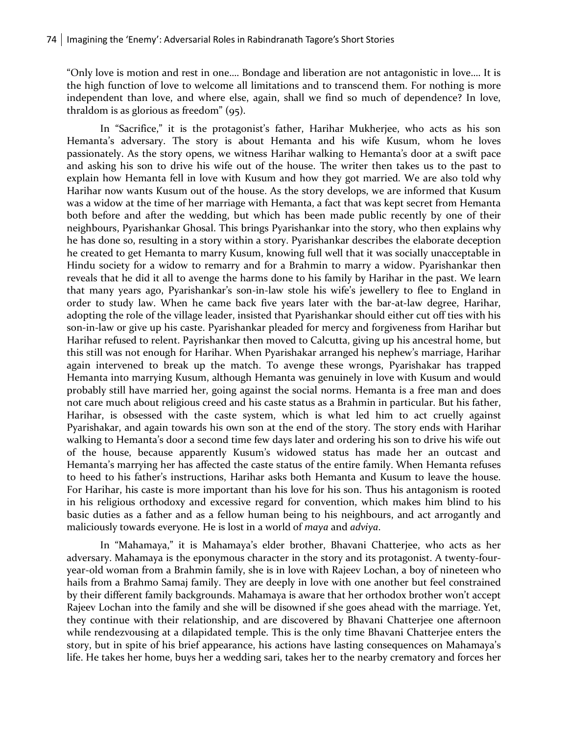"Only love is motion and rest in one…. Bondage and liberation are not antagonistic in love…. It is the high function of love to welcome all limitations and to transcend them. For nothing is more independent than love, and where else, again, shall we find so much of dependence? In love, thraldom is as glorious as freedom" (95).

In "Sacrifice," it is the protagonist's father, Harihar Mukherjee, who acts as his son Hemanta's adversary. The story is about Hemanta and his wife Kusum, whom he loves passionately. As the story opens, we witness Harihar walking to Hemanta's door at a swift pace and asking his son to drive his wife out of the house. The writer then takes us to the past to explain how Hemanta fell in love with Kusum and how they got married. We are also told why Harihar now wants Kusum out of the house. As the story develops, we are informed that Kusum was a widow at the time of her marriage with Hemanta, a fact that was kept secret from Hemanta both before and after the wedding, but which has been made public recently by one of their neighbours, Pyarishankar Ghosal. This brings Pyarishankar into the story, who then explains why he has done so, resulting in a story within a story. Pyarishankar describes the elaborate deception he created to get Hemanta to marry Kusum, knowing full well that it was socially unacceptable in Hindu society for a widow to remarry and for a Brahmin to marry a widow. Pyarishankar then reveals that he did it all to avenge the harms done to his family by Harihar in the past. We learn that many years ago, Pyarishankar's son-in-law stole his wife's jewellery to flee to England in order to study law. When he came back five years later with the bar-at-law degree, Harihar, adopting the role of the village leader, insisted that Pyarishankar should either cut off ties with his son-in-law or give up his caste. Pyarishankar pleaded for mercy and forgiveness from Harihar but Harihar refused to relent. Payrishankar then moved to Calcutta, giving up his ancestral home, but this still was not enough for Harihar. When Pyarishakar arranged his nephew's marriage, Harihar again intervened to break up the match. To avenge these wrongs, Pyarishakar has trapped Hemanta into marrying Kusum, although Hemanta was genuinely in love with Kusum and would probably still have married her, going against the social norms. Hemanta is a free man and does not care much about religious creed and his caste status as a Brahmin in particular. But his father, Harihar, is obsessed with the caste system, which is what led him to act cruelly against Pyarishakar, and again towards his own son at the end of the story. The story ends with Harihar walking to Hemanta's door a second time few days later and ordering his son to drive his wife out of the house, because apparently Kusum's widowed status has made her an outcast and Hemanta's marrying her has affected the caste status of the entire family. When Hemanta refuses to heed to his father's instructions, Harihar asks both Hemanta and Kusum to leave the house. For Harihar, his caste is more important than his love for his son. Thus his antagonism is rooted in his religious orthodoxy and excessive regard for convention, which makes him blind to his basic duties as a father and as a fellow human being to his neighbours, and act arrogantly and maliciously towards everyone. He is lost in a world of *maya* and *adviya*.

In "Mahamaya," it is Mahamaya's elder brother, Bhavani Chatterjee, who acts as her adversary. Mahamaya is the eponymous character in the story and its protagonist. A twenty-fouryear-old woman from a Brahmin family, she is in love with Rajeev Lochan, a boy of nineteen who hails from a Brahmo Samaj family. They are deeply in love with one another but feel constrained by their different family backgrounds. Mahamaya is aware that her orthodox brother won't accept Rajeev Lochan into the family and she will be disowned if she goes ahead with the marriage. Yet, they continue with their relationship, and are discovered by Bhavani Chatterjee one afternoon while rendezvousing at a dilapidated temple. This is the only time Bhavani Chatterjee enters the story, but in spite of his brief appearance, his actions have lasting consequences on Mahamaya's life. He takes her home, buys her a wedding sari, takes her to the nearby crematory and forces her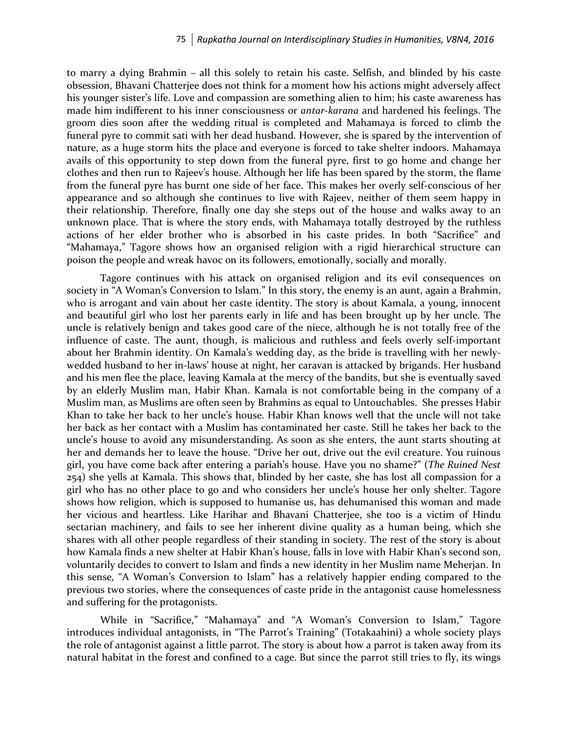to marry a dying Brahmin – all this solely to retain his caste. Selfish, and blinded by his caste obsession, Bhavani Chatterjee does not think for a moment how his actions might adversely affect his younger sister's life. Love and compassion are something alien to him; his caste awareness has made him indifferent to his inner consciousness or *antar-karana* and hardened his feelings. The groom dies soon after the wedding ritual is completed and Mahamaya is forced to climb the funeral pyre to commit sati with her dead husband. However, she is spared by the intervention of nature, as a huge storm hits the place and everyone is forced to take shelter indoors. Mahamaya avails of this opportunity to step down from the funeral pyre, first to go home and change her clothes and then run to Rajeev's house. Although her life has been spared by the storm, the flame from the funeral pyre has burnt one side of her face. This makes her overly self-conscious of her appearance and so although she continues to live with Rajeev, neither of them seem happy in their relationship. Therefore, finally one day she steps out of the house and walks away to an unknown place. That is where the story ends, with Mahamaya totally destroyed by the ruthless actions of her elder brother who is absorbed in his caste prides. In both "Sacrifice" and "Mahamaya," Tagore shows how an organised religion with a rigid hierarchical structure can poison the people and wreak havoc on its followers, emotionally, socially and morally.

Tagore continues with his attack on organised religion and its evil consequences on society in "A Woman's Conversion to Islam." In this story, the enemy is an aunt, again a Brahmin, who is arrogant and vain about her caste identity. The story is about Kamala, a young, innocent and beautiful girl who lost her parents early in life and has been brought up by her uncle. The uncle is relatively benign and takes good care of the niece, although he is not totally free of the influence of caste. The aunt, though, is malicious and ruthless and feels overly self-important about her Brahmin identity. On Kamala's wedding day, as the bride is travelling with her newlywedded husband to her in-laws' house at night, her caravan is attacked by brigands. Her husband and his men flee the place, leaving Kamala at the mercy of the bandits, but she is eventually saved by an elderly Muslim man, Habir Khan. Kamala is not comfortable being in the company of a Muslim man, as Muslims are often seen by Brahmins as equal to Untouchables. She presses Habir Khan to take her back to her uncle's house. Habir Khan knows well that the uncle will not take her back as her contact with a Muslim has contaminated her caste. Still he takes her back to the uncle's house to avoid any misunderstanding. As soon as she enters, the aunt starts shouting at her and demands her to leave the house. "Drive her out, drive out the evil creature. You ruinous girl, you have come back after entering a pariah's house. Have you no shame?" (*The Ruined Nest*  254) she yells at Kamala. This shows that, blinded by her caste, she has lost all compassion for a girl who has no other place to go and who considers her uncle's house her only shelter. Tagore shows how religion, which is supposed to humanise us, has dehumanised this woman and made her vicious and heartless. Like Harihar and Bhavani Chatterjee, she too is a victim of Hindu sectarian machinery, and fails to see her inherent divine quality as a human being, which she shares with all other people regardless of their standing in society. The rest of the story is about how Kamala finds a new shelter at Habir Khan's house, falls in love with Habir Khan's second son, voluntarily decides to convert to Islam and finds a new identity in her Muslim name Meherjan. In this sense, "A Woman's Conversion to Islam" has a relatively happier ending compared to the previous two stories, where the consequences of caste pride in the antagonist cause homelessness and suffering for the protagonists.

While in "Sacrifice," "Mahamaya" and "A Woman's Conversion to Islam," Tagore introduces individual antagonists, in "The Parrot's Training" (Totakaahini) a whole society plays the role of antagonist against a little parrot. The story is about how a parrot is taken away from its natural habitat in the forest and confined to a cage. But since the parrot still tries to fly, its wings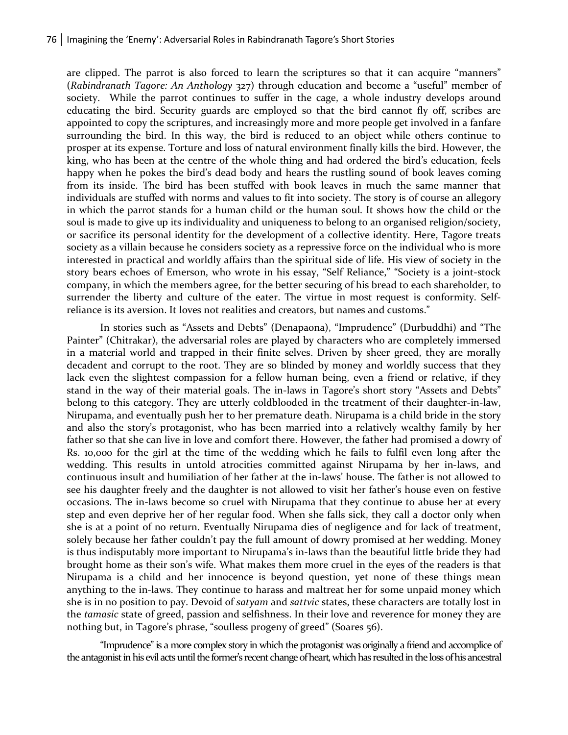are clipped. The parrot is also forced to learn the scriptures so that it can acquire "manners" (*Rabindranath Tagore: An Anthology* 327) through education and become a "useful" member of society. While the parrot continues to suffer in the cage, a whole industry develops around educating the bird. Security guards are employed so that the bird cannot fly off, scribes are appointed to copy the scriptures, and increasingly more and more people get involved in a fanfare surrounding the bird. In this way, the bird is reduced to an object while others continue to prosper at its expense. Torture and loss of natural environment finally kills the bird. However, the king, who has been at the centre of the whole thing and had ordered the bird's education, feels happy when he pokes the bird's dead body and hears the rustling sound of book leaves coming from its inside. The bird has been stuffed with book leaves in much the same manner that individuals are stuffed with norms and values to fit into society. The story is of course an allegory in which the parrot stands for a human child or the human soul. It shows how the child or the soul is made to give up its individuality and uniqueness to belong to an organised religion/society, or sacrifice its personal identity for the development of a collective identity. Here, Tagore treats society as a villain because he considers society as a repressive force on the individual who is more interested in practical and worldly affairs than the spiritual side of life. His view of society in the story bears echoes of Emerson, who wrote in his essay, "Self Reliance," "Society is a joint-stock company, in which the members agree, for the better securing of his bread to each shareholder, to surrender the liberty and culture of the eater. The virtue in most request is conformity. Selfreliance is its aversion. It loves not realities and creators, but names and customs."

In stories such as "Assets and Debts" (Denapaona), "Imprudence" (Durbuddhi) and "The Painter" (Chitrakar), the adversarial roles are played by characters who are completely immersed in a material world and trapped in their finite selves. Driven by sheer greed, they are morally decadent and corrupt to the root. They are so blinded by money and worldly success that they lack even the slightest compassion for a fellow human being, even a friend or relative, if they stand in the way of their material goals. The in-laws in Tagore's short story "Assets and Debts" belong to this category. They are utterly coldblooded in the treatment of their daughter-in-law, Nirupama, and eventually push her to her premature death. Nirupama is a child bride in the story and also the story's protagonist, who has been married into a relatively wealthy family by her father so that she can live in love and comfort there. However, the father had promised a dowry of Rs. 10,000 for the girl at the time of the wedding which he fails to fulfil even long after the wedding. This results in untold atrocities committed against Nirupama by her in-laws, and continuous insult and humiliation of her father at the in-laws' house. The father is not allowed to see his daughter freely and the daughter is not allowed to visit her father's house even on festive occasions. The in-laws become so cruel with Nirupama that they continue to abuse her at every step and even deprive her of her regular food. When she falls sick, they call a doctor only when she is at a point of no return. Eventually Nirupama dies of negligence and for lack of treatment, solely because her father couldn't pay the full amount of dowry promised at her wedding. Money is thus indisputably more important to Nirupama's in-laws than the beautiful little bride they had brought home as their son's wife. What makes them more cruel in the eyes of the readers is that Nirupama is a child and her innocence is beyond question, yet none of these things mean anything to the in-laws. They continue to harass and maltreat her for some unpaid money which she is in no position to pay. Devoid of *satyam* and *sattvic* states, these characters are totally lost in the *tamasic* state of greed, passion and selfishness. In their love and reverence for money they are nothing but, in Tagore's phrase, "soulless progeny of greed" (Soares 56).

"Imprudence" is a more complex story in which the protagonist was originally a friend and accomplice of the antagonist in his evil acts until the former's recent change of heart,which has resulted in the loss of his ancestral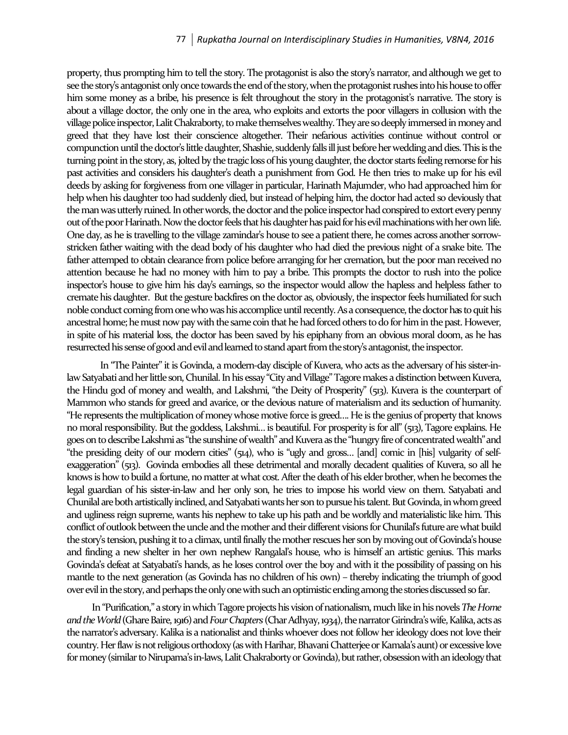property, thus prompting him to tell the story. The protagonist is also the story's narrator, and although we get to see the story's antagonist only once towards the end of the story, when the protagonist rushes into his house to offer him some money as a bribe, his presence is felt throughout the story in the protagonist's narrative. The story is about a village doctor, the only one in the area, who exploits and extorts the poor villagers in collusion with the village police inspector, Lalit Chakraborty, to make themselves wealthy. They are so deeply immersed in money and greed that they have lost their conscience altogether. Their nefarious activities continue without control or compunction until the doctor's little daughter, Shashie, suddenly falls ill just before her wedding and dies. This is the turning point in the story, as, jolted by the tragic loss of his young daughter, the doctor starts feeling remorse for his past activities and considers his daughter's death a punishment from God. He then tries to make up for his evil deeds by asking for forgiveness from one villager in particular, Harinath Majumder, who had approached him for help when his daughter too had suddenly died, but instead of helping him, the doctor had acted so deviously that the man was utterly ruined. In other words, the doctor and the police inspector had conspired to extort every penny out of the poor Harinath. Now the doctor feels that his daughter has paid for his evil machinations with her own life. One day, as he is travelling to the village zamindar's house to see a patient there, he comes across another sorrowstricken father waiting with the dead body of his daughter who had died the previous night of a snake bite. The father attemped to obtain clearance from police before arranging for her cremation, but the poor man received no attention because he had no money with him to pay a bribe. This prompts the doctor to rush into the police inspector's house to give him his day's earnings, so the inspector would allow the hapless and helpless father to cremate his daughter. But the gesture backfires on the doctor as, obviously, the inspector feels humiliated for such noble conduct coming from one who was his accomplice until recently. As a consequence, the doctor has to quit his ancestral home; he must now pay with the same coin that he had forced others to do for him in the past. However, in spite of his material loss, the doctor has been saved by his epiphany from an obvious moral doom, as he has resurrected his sense of good and evil and learned to stand apart from the story's antagonist, the inspector.

In "The Painter" it is Govinda, a modern-day disciple of Kuvera, who acts as the adversary of his sister-inlaw Satyabati and her little son, Chunilal. In his essay "City and Village" Tagore makes a distinction between Kuvera, the Hindu god of money and wealth, and Lakshmi, "the Deity of Prosperity" (513). Kuvera is the counterpart of Mammon who stands for greed and avarice, or the devious nature of materialism and its seduction of humanity. "He represents the multiplication of money whose motive force is greed…. He is the genius of property that knows no moral responsibility. But the goddess, Lakshmi… is beautiful. For prosperity is for all"(513), Tagore explains. He goes on to describe Lakshmi as "the sunshine of wealth" and Kuvera as the "hungry fire of concentrated wealth" and "the presiding deity of our modern cities" (514), who is "ugly and gross… [and] comic in [his] vulgarity of selfexaggeration" (513). Govinda embodies all these detrimental and morally decadent qualities of Kuvera, so all he knows is how to build a fortune, no matter at what cost. After the death of his elder brother, when he becomes the legal guardian of his sister-in-law and her only son, he tries to impose his world view on them. Satyabati and Chunilal are both artistically inclined, and Satyabati wants her son to pursue his talent. But Govinda, in whom greed and ugliness reign supreme, wants his nephew to take up his path and be worldly and materialistic like him. This conflict of outlook between the uncle and the mother and their different visions for Chunilal's future are what build the story's tension, pushing it to a climax, until finally the mother rescues her son by moving out of Govinda's house and finding a new shelter in her own nephew Rangalal's house, who is himself an artistic genius. This marks Govinda's defeat at Satyabati's hands, as he loses control over the boy and with it the possibility of passing on his mantle to the next generation (as Govinda has no children of his own) – thereby indicating the triumph of good over evil in the story, and perhaps the only one with such an optimistic ending among the stories discussed so far.

In "Purification," a story in which Tagore projects his vision of nationalism, much like in his novels *The Home and the World* (Ghare Baire, 1916) and *Four Chapters* (Char Adhyay, 1934), thenarrator Girindra's wife, Kalika, acts as the narrator's adversary. Kalika is a nationalist and thinks whoever does not follow her ideology does not love their country. Her flaw is not religious orthodoxy (as with Harihar, Bhavani Chatterjeeor Kamala's aunt) or excessive love for money (similar to Nirupama's in-laws, Lalit Chakraborty or Govinda), but rather, obsession with an ideology that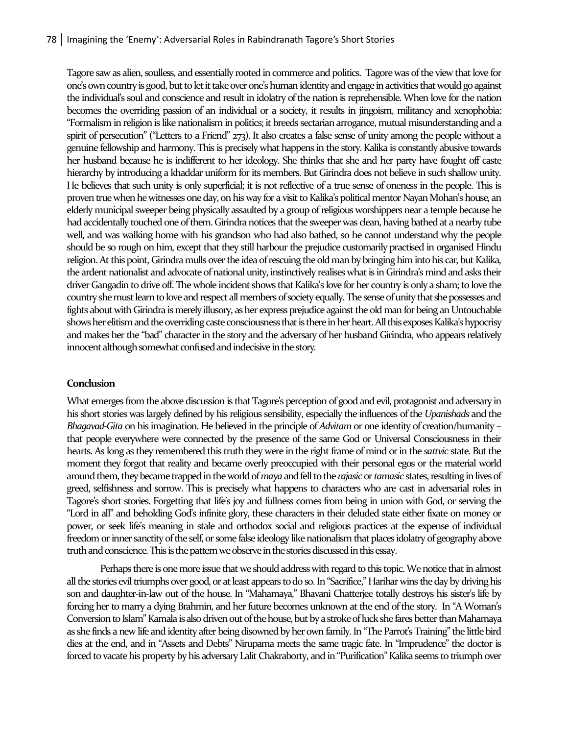Tagore saw as alien, soulless, and essentially rooted in commerce and politics. Tagore was of the view that love for one's own country is good, but to let it take over one's human identity and engage in activities that would go against the individual's soul and conscience and result in idolatry of the nation is reprehensible. When love for the nation becomes the overriding passion of an individual or a society, it results in jingoism, militancy and xenophobia: "Formalism in religion is like nationalism in politics; it breeds sectarian arrogance, mutual misunderstanding and a spirit of persecution" ("Letters to a Friend" 273). It also creates a false sense of unity among the people without a genuine fellowship and harmony. This is precisely what happens in the story. Kalika is constantly abusive towards her husband because he is indifferent to her ideology. She thinks that she and her party have fought off caste hierarchy by introducing a khaddar uniform for its members. But Girindra does not believe in such shallow unity. He believes that such unity is only superficial; it is not reflective of a true sense of oneness in the people. This is proven truewhen he witnesses one day, on his way for a visit to Kalika's political mentor Nayan Mohan's house, an elderly municipal sweeper being physically assaulted by a group of religious worshippers near a temple because he had accidentally touched one of them. Girindra notices that the sweeper was clean, having bathed at a nearby tube well, and was walking home with his grandson who had also bathed, so he cannot understand why the people should be so rough on him, except that they still harbour the prejudice customarily practised in organised Hindu religion. At this point, Girindra mulls over the idea of rescuing the old man by bringing him into his car, but Kalika, the ardent nationalist and advocate of national unity, instinctively realises what is in Girindra's mind and asks their driver Gangadin to drive off. The whole incident shows that Kalika's love for her country is only a sham; to love the country she must learn to love and respect all members of society equally. The sense of unity that she possesses and fights about with Girindra is merely illusory, as her express prejudice againstthe old man for being an Untouchable shows her elitism and the overriding caste consciousness that is there in her heart. All thisexposes Kalika's hypocrisy and makes her the "bad" characterin the story and the adversary of her husband Girindra, who appears relatively innocent although somewhat confused and indecisive in the story.

#### **Conclusion**

What emerges from the above discussion is that Tagore's perception of good and evil, protagonist and adversary in his short stories was largely defined by his religious sensibility, especially the influences of the *Upanishads* and the *Bhagavad-Gita* on his imagination. He believed in the principle of *Advitam* or one identity of creation/humanity – that people everywhere were connected by the presence of the same God or Universal Consciousness in their hearts. As long as they remembered this truth they were in the right frame of mind or in the *sattvic* state. But the moment they forgot that reality and became overly preoccupied with their personal egos or the material world around them, they became trapped in the world of *maya* and fell to the *rajasic*or *tamasic* states, resulting inlives of greed, selfishness and sorrow. This is precisely what happens to characters who are cast in adversarial roles in Tagore's short stories. Forgetting that life's joy and fullness comes from being in union with God, or serving the "Lord in all" and beholding God's infinite glory, these characters in their deluded state either fixate on money or power, or seek life's meaning in stale and orthodox social and religious practices at the expense of individual freedom or inner sanctity of the self, or some false ideology like nationalism that places idolatry of geography above truth and conscience. This is the pattern we observe in the stories discussed in this essay.

Perhaps there is one more issue that we should address with regard to this topic. We notice that in almost all the stories evil triumphs over good, or at least appears to do so. In "Sacrifice," Harihar wins the day by driving his son and daughter-in-law out of the house. In "Mahamaya," Bhavani Chatterjee totally destroys his sister's life by forcing her to marry a dying Brahmin, and her future becomes unknown at the end of the story. In "A Woman's Conversion to Islam" Kamala is also driven out of the house, but by a stroke of luck she fares better than Mahamaya as she finds a new life and identity after being disowned by her own family. In "The Parrot's Training" the little bird dies at the end, and in "Assets and Debts" Nirupama meets the same tragic fate. In "Imprudence" the doctor is forced to vacate his property by his adversary Lalit Chakraborty, and in "Purification" Kalika seems to triumph over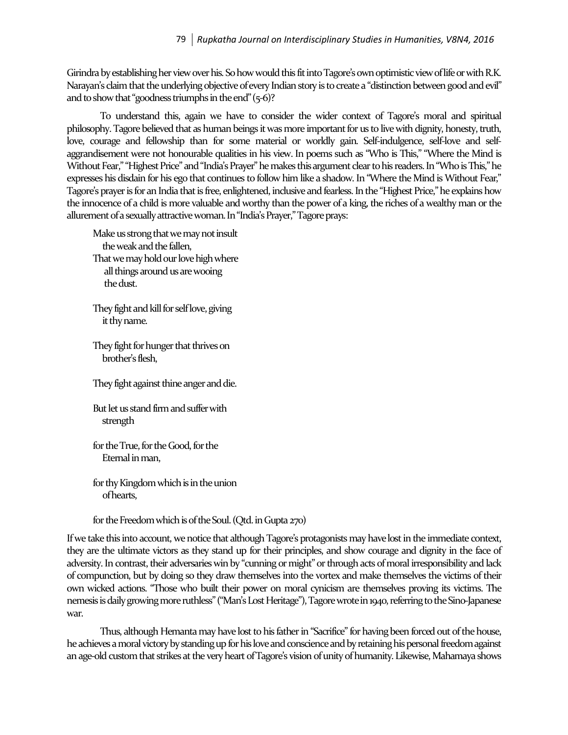Girindra by establishing her view over his. So how would this fit into Tagore's own optimistic view of life or with R.K. Narayan's claim that the underlying objective of every Indian story is to create a "distinction between good and evil" and to show that "goodness triumphs in the end" $(5-6)$ ?

To understand this, again we have to consider the wider context of Tagore's moral and spiritual philosophy. Tagore believed that as human beings it was more important for us to live with dignity, honesty, truth, love, courage and fellowship than for some material or worldly gain. Self-indulgence, self-love and selfaggrandisement were not honourable qualities in his view. In poems such as "Who is This," "Where the Mind is Without Fear," "Highest Price" and "India's Prayer" he makes this argument clear to his readers. In "Who is This," he expresses his disdain for his ego that continues to follow him like a shadow. In "Where the Mind is Without Fear," Tagore's prayer is for an India that is free, enlightened, inclusive and fearless. In the "Highest Price," he explains how the innocence of a child is more valuable and worthy than the power of a king, the riches of a wealthy man or the allurement of a sexually attractive woman. In "India's Prayer," Tagore prays:

Make us strong that we may not insult the weak and the fallen, That we mayhold our love highwhere all things around us are wooing the dust.

They fight and kill for self love, giving it thy name.

They fight for hunger that thrives on brother's flesh,

They fight against thine anger and die.

But let us stand firm and suffer with strength

for the True, for the Good, for the Eternal in man,

for thy Kingdom which is in the union of hearts,

for the Freedomwhich is of the Soul. (Qtd. in Gupta 270)

If we take this into account, we notice that although Tagore's protagonists may have lost in the immediate context, they are the ultimate victors as they stand up for their principles, and show courage and dignity in the face of adversity. In contrast, their adversaries win by "cunning or might" or through acts of moral irresponsibility and lack of compunction, but by doing so they draw themselves into the vortex and make themselves the victims of their own wicked actions. "Those who built their power on moral cynicism are themselves proving its victims. The nemesis is daily growing more ruthless" ("Man's Lost Heritage"), Tagore wrote in 1940, referring to the Sino-Japanese war.

Thus, although Hemanta may have lost to his father in "Sacrifice" for having been forced out of the house, he achieves a moral victory by standing up for his love and conscience and by retaining his personal freedom against an age-old custom that strikes at the very heart of Tagore's vision of unity of humanity. Likewise, Mahamaya shows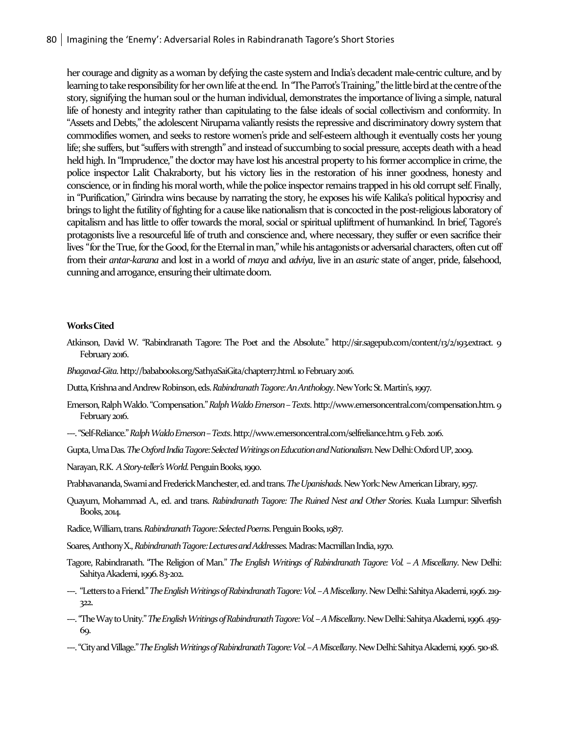her courage and dignity as a woman by defying the caste system and India's decadent male-centric culture, and by learning to take responsibility for her own life at the end. In "The Parrot's Training," the little bird at the centre of the story, signifying the human soul or the human individual, demonstrates the importance of living a simple, natural life of honesty and integrity rather than capitulating to the false ideals of social collectivism and conformity. In "Assets and Debts," the adolescent Nirupama valiantly resists the repressive and discriminatory dowry system that commodifies women, and seeks to restore women's pride and self-esteem although it eventually costs her young life; she suffers, but "suffers with strength" and instead of succumbing to social pressure, accepts death with a head held high. In "Imprudence," the doctor may have lost his ancestral property to his former accomplice in crime, the police inspector Lalit Chakraborty, but his victory lies in the restoration of his inner goodness, honesty and conscience, or in finding his moral worth, while the police inspector remains trapped in his old corrupt self. Finally, in "Purification," Girindra wins because by narrating the story, he exposes his wife Kalika's political hypocrisy and brings to light the futility of fighting for a cause like nationalism that is concocted in the post-religious laboratory of capitalism and has little to offer towards the moral, social or spiritual upliftment of humankind. In brief, Tagore's protagonists live a resourceful life of truth and conscience and, where necessary, they suffer or even sacrifice their lives "for the True, for the Good, for the Eternal in man," while his antagonists or adversarial characters, often cut off from their *antar-karana* and lost in a world of *maya* and *adviya*, live in an *asuric* state of anger, pride, falsehood, cunningandarrogance, ensuring their ultimate doom.

#### **Works Cited**

- Atkinson, David W. "Rabindranath Tagore: The Poet and the Absolute." http://sir.sagepub.com/content/13/2/193.extract. 9 February 2016.
- *Bhagavad-Gita*. http://bababooks.org/SathyaSaiGita/chapter17.html. 10 February 2016.
- Dutta, Krishna and Andrew Robinson, eds. *RabindranathTagore: An Anthology*. New York: St. Martin's, 1997.
- Emerson, Ralph Waldo. "Compensation." *Ralph Waldo Emerson –Texts*. http://www.emersoncentral.com/compensation.htm. 9 February 2016.
- ---. "Self-Reliance." *Ralph Waldo Emerson –Texts*. http://www.emersoncentral.com/selfreliance.htm. 9 Feb. 2016.
- Gupta, Uma Das. *The Oxford India Tagore: Selected Writings on Education and Nationalism*. New Delhi: Oxford UP, 2009.
- Narayan, R.K. *A Story-teller's World*. Penguin Books, 1990.
- Prabhavananda, Swami and FrederickManchester, ed. and trans. *The Upanishads*. New York: New American Library, 1957.
- Quayum, Mohammad A., ed. and trans. *Rabindranath Tagore: The Ruined Nest and Other Stories*. Kuala Lumpur: Silverfish Books, 2014.
- Radice, William, trans. *Rabindranath Tagore: Selected Poems*. Penguin Books, 1987.
- Soares, Anthony X., *Rabindranath Tagore: Lectures and Addresses*. Madras: Macmillan India, 1970.
- Tagore, Rabindranath. "The Religion of Man." *The English Writings of Rabindranath Tagore: Vol. – A Miscellany*. New Delhi: Sahitya Akademi, 1996. 83-202.
- ---. "Letters to a Friend."*The English Writings of Rabindranath Tagore: Vol. –A Miscellany*. New Delhi: Sahitya Akademi, 1996. 219- 322.
- ---. "The Way to Unity."*The English Writings of Rabindranath Tagore: Vol. –A Miscellany*. New Delhi: Sahitya Akademi, 1996. 459- 69.
- ---. "City and Village." *The English Writings of Rabindranath Tagore: Vol. –A Miscellany*. New Delhi: Sahitya Akademi, 1996. 510-18.